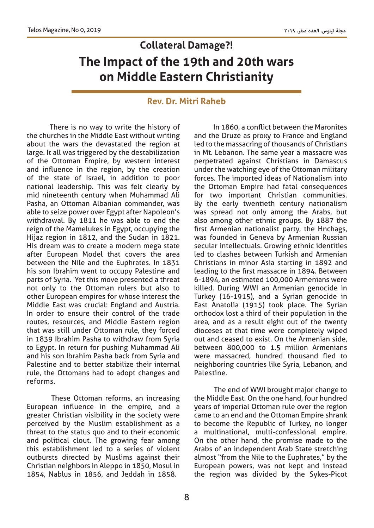### **The Impact of the 19th and 20th wars on Middle Eastern Christianity Collateral Damage?!**

### **Rev. Dr. Mitri Raheb**

 There is no way to write the history of the churches in the Middle East without writing about the wars the devastated the region at large. It all was triggered by the destabilization of the Ottoman Empire, by western interest and influence in the region, by the creation of the state of Israel, in addition to poor national leadership. This was felt clearly by mid nineteenth century when Muhammad Ali Pasha, an Ottoman Albanian commander, was able to seize power over Egypt after Napoleon's withdrawal. By 1811 he was able to end the reign of the Mamelukes in Egypt, occupying the Hijaz region in 1812, and the Sudan in 1821. His dream was to create a modern mega state after European Model that covers the area between the Nile and the Euphrates. In 1831 his son Ibrahim went to occupy Palestine and parts of Syria. Yet this move presented a threat not only to the Ottoman rulers but also to other European empires for whose interest the Middle East was crucial: England and Austria. In order to ensure their control of the trade routes, resources, and Middle Eastern region that was still under Ottoman rule, they forced in 1839 Ibrahim Pasha to withdraw from Syria to Egypt. In return for pushing Muhammad Ali and his son Ibrahim Pasha back from Syria and Palestine and to better stabilize their internal rule, the Ottomans had to adopt changes and reforms.

 These Ottoman reforms, an increasing European influence in the empire, and a greater Christian visibility in the society were perceived by the Muslim establishment as a threat to the status quo and to their economic and political clout. The growing fear among this establishment led to a series of violent outbursts directed by Muslims against their Christian neighbors in Aleppo in 1850, Mosul in 1854, Nablus in 1856, and Jeddah in 1858.

 In 1860, a conflict between the Maronites and the Druze as proxy to France and England led to the massacring of thousands of Christians in Mt. Lebanon. The same year a massacre was perpetrated against Christians in Damascus under the watching eye of the Ottoman military forces. The imported ideas of Nationalism into the Ottoman Empire had fatal consequences for two important Christian communities. By the early twentieth century nationalism was spread not only among the Arabs, but also among other ethnic groups. By 1887 the first Armenian nationalist party, the Hnchags, was founded in Geneva by Armenian Russian secular intellectuals. Growing ethnic identities led to clashes between Turkish and Armenian Christians in minor Asia starting in 1892 and leading to the first massacre in 1894. Between 6-1894, an estimated 100,000 Armenians were killed. During WWI an Armenian genocide in Turkey (16-1915), and a Syrian genocide in East Anatolia (1915) took place. The Syrian orthodox lost a third of their population in the area, and as a result eight out of the twenty dioceses at that time were completely wiped out and ceased to exist. On the Armenian side, between 800,000 to 1.5 million Armenians were massacred, hundred thousand fled to neighboring countries like Syria, Lebanon, and Palestine.

 The end of WWI brought major change to the Middle East. On the one hand, four hundred years of imperial Ottoman rule over the region came to an end and the Ottoman Empire shrank to become the Republic of Turkey, no longer a multinational, multi-confessional empire. On the other hand, the promise made to the Arabs of an independent Arab State stretching almost "from the Nile to the Euphrates," by the European powers, was not kept and instead the region was divided by the Sykes-Picot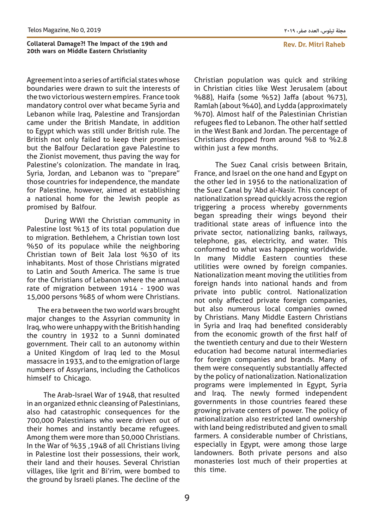**Collateral Damage?! The Impact of the 19th and 20th wars on Middle Eastern Christianity** 

#### **Rev. Dr. Mitri Raheb**

Agreement into a series of artificial states whose boundaries were drawn to suit the interests of the two victorious western empires. France took mandatory control over what became Syria and Lebanon while Iraq, Palestine and Transjordan came under the British Mandate, in addition to Egypt which was still under British rule. The British not only failed to keep their promises but the Balfour Declaration gave Palestine to the Zionist movement, thus paving the way for Palestine's colonization. The mandate in Iraq, Syria, Jordan, and Lebanon was to "prepare" those countries for independence, the mandate for Palestine, however, aimed at establishing a national home for the Jewish people as promised by Balfour.

 During WWI the Christian community in Palestine lost %13 of its total population due to migration. Bethlehem, a Christian town lost %50 of its populace while the neighboring Christian town of Beit Jala lost %30 of its inhabitants. Most of those Christians migrated to Latin and South America. The same is true for the Christians of Lebanon where the annual rate of migration between 1914 - 1900 was 15,000 persons %85 of whom were Christians.

 The era between the two world wars brought major changes to the Assyrian community in Iraq, who were unhappy with the British handing the country in 1932 to a Sunni dominated government. Their call to an autonomy within a United Kingdom of Iraq led to the Mosul massacre in 1933, and to the emigration of large numbers of Assyrians, including the Catholicos himself to Chicago.

 The Arab-Israel War of 1948, that resulted in an organized ethnic cleansing of Palestinians, also had catastrophic consequences for the 700,000 Palestinians who were driven out of their homes and instantly became refugees. Among them were more than 50,000 Christians. In the War of %35 ,1948 of all Christians living in Palestine lost their possessions, their work, their land and their houses. Several Christian villages, like Igrit and Bi'rim, were bombed to the ground by Israeli planes. The decline of the

Christian population was quick and striking in Christian cities like West Jerusalem (about %88), Haifa (some %52) Jaffa (about %73), Ramlah (about %40), and Lydda (approximately %70). Almost half of the Palestinian Christian refugees fled to Lebanon. The other half settled in the West Bank and Jordan. The percentage of Christians dropped from around %8 to %2.8 within just a few months.

 The Suez Canal crisis between Britain, France, and Israel on the one hand and Egypt on the other led in 1956 to the nationalization of the Suez Canal by 'Abd al-Nasir. This concept of nationalization spread quickly across the region triggering a process whereby governments began spreading their wings beyond their traditional state areas of influence into the private sector, nationalizing banks, railways, telephone, gas, electricity, and water. This conformed to what was happening worldwide. In many Middle Eastern counties these utilities were owned by foreign companies. Nationalization meant moving the utilities from foreign hands into national hands and from private into public control. Nationalization not only affected private foreign companies, but also numerous local companies owned by Christians. Many Middle Eastern Christians in Syria and Iraq had benefited considerably from the economic growth of the first half of the twentieth century and due to their Western education had become natural intermediaries for foreign companies and brands. Many of them were consequently substantially affected by the policy of nationalization. Nationalization programs were implemented in Egypt, Syria and Iraq. The newly formed independent governments in those countries feared these growing private centers of power. The policy of nationalization also restricted land ownership with land being redistributed and given to small farmers. A considerable number of Christians, especially in Egypt, were among those large landowners. Both private persons and also monasteries lost much of their properties at this time.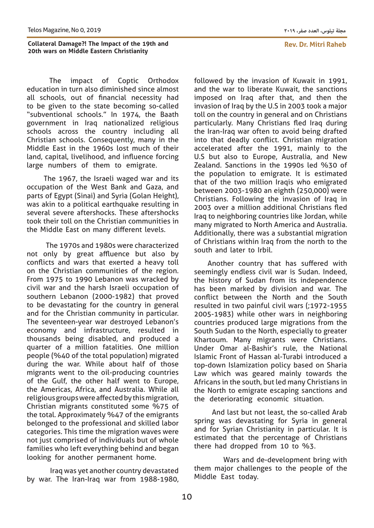#### **Rev. Dr. Mitri Raheb**

## **20th wars on Middle Eastern Christianity**

The impact of Coptic Orthodox education in turn also diminished since almost all schools, out of financial necessity had to be given to the state becoming so-called "subventional schools." In 1974, the Baath government in Iraq nationalized religious schools across the country including all Christian schools. Consequently, many in the Middle East in the 1960s lost much of their land, capital, livelihood, and influence forcing large numbers of them to emigrate.

 The 1967, the Israeli waged war and its occupation of the West Bank and Gaza, and parts of Egypt (Sinai) and Syria (Golan Height), was akin to a political earthquake resulting in several severe aftershocks. These aftershocks took their toll on the Christian communities in the Middle East on many different levels.

Collateral Damage?! The Impact of the 19th and<br>20th wars on Middle Eastern Christianity<br>100th wars on Middle Eastern Christianity<br>education in turn also diminished since almost<br>11L schools, out of financial necessity had<br>1 The 1970s and 1980s were characterized not only by great affluence but also by conflicts and wars that exerted a heavy toll on the Christian communities of the region. From 1975 to 1990 Lebanon was wracked by civil war and the harsh Israeli occupation of southern Lebanon (2000-1982) that proved to be devastating for the country in general and for the Christian community in particular. The seventeen-year war destroyed Lebanon's economy and infrastructure, resulted in thousands being disabled, and produced a quarter of a million fatalities. One million people (%40 of the total population) migrated during the war. While about half of those migrants went to the oil-producing countries of the Gulf, the other half went to Europe, the Americas, Africa, and Australia. While all religious groups were affected by this migration, Christian migrants constituted some %75 of the total. Approximately %47 of the emigrants belonged to the professional and skilled labor categories. This time the migration waves were not just comprised of individuals but of whole families who left everything behind and began looking for another permanent home.

 Iraq was yet another country devastated by war. The Iran-Iraq war from 1988-1980, followed by the invasion of Kuwait in 1991, and the war to liberate Kuwait, the sanctions imposed on Iraq after that, and then the invasion of Iraq by the U.S in 2003 took a major toll on the country in general and on Christians particularly. Many Christians fled Iraq during the Iran-Iraq war often to avoid being drafted into that deadly conflict. Christian migration accelerated after the 1991, mainly to the U.S but also to Europe, Australia, and New Zealand. Sanctions in the 1990s led %30 of the population to emigrate. It is estimated that of the two million Iraqis who emigrated between 2003-1980 an eighth (250,000) were Christians. Following the invasion of Iraq in 2003 over a million additional Christians fled Iraq to neighboring countries like Jordan, while many migrated to North America and Australia. Additionally, there was a substantial migration of Christians within Iraq from the north to the south and later to Irbil.

 Another country that has suffered with seemingly endless civil war is Sudan. Indeed, the history of Sudan from its independence has been marked by division and war. The conflict between the North and the South resulted in two painful civil wars (;1972-1955 2005-1983) while other wars in neighboring countries produced large migrations from the South Sudan to the North, especially to greater Khartoum. Many migrants were Christians. Under Omar al-Bashir's rule, the National Islamic Front of Hassan al-Turabi introduced a top-down Islamization policy based on Sharia Law which was geared mainly towards the Africans in the south, but led many Christians in the North to emigrate escaping sanctions and the deteriorating economic situation.

 And last but not least, the so-called Arab spring was devastating for Syria in general and for Syrian Christianity in particular. It is estimated that the percentage of Christians there had dropped from 10 to %3.

 Wars and de-development bring with them major challenges to the people of the Middle East today.